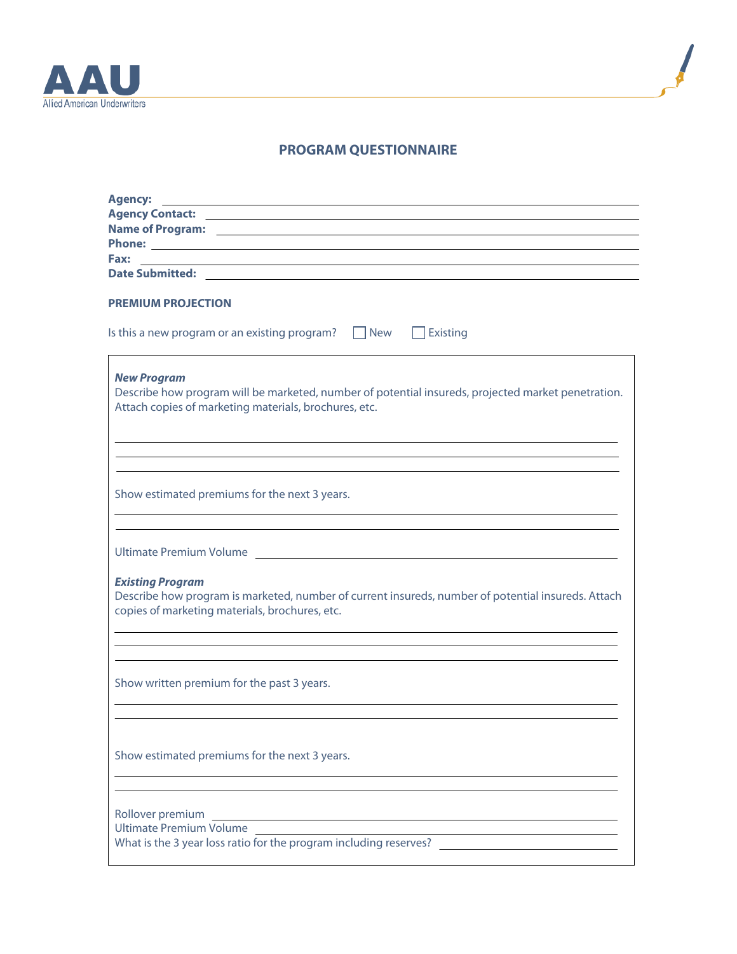



## **PROGRAM QUESTIONNAIRE**

| <b>Agency:</b>                                                                                                                                                                    |
|-----------------------------------------------------------------------------------------------------------------------------------------------------------------------------------|
|                                                                                                                                                                                   |
|                                                                                                                                                                                   |
|                                                                                                                                                                                   |
|                                                                                                                                                                                   |
|                                                                                                                                                                                   |
| <b>PREMIUM PROJECTION</b>                                                                                                                                                         |
| Is this a new program or an existing program? $\Box$ New $\Box$ Existing                                                                                                          |
| <b>New Program</b><br>Describe how program will be marketed, number of potential insureds, projected market penetration.<br>Attach copies of marketing materials, brochures, etc. |
| Show estimated premiums for the next 3 years.<br>and the control of the control of the control of the control of the control of the control of the control of the                 |
| Ultimate Premium Volume and Alexander and Alexander and Alexander and Alexander and Alexander and Alexander and A                                                                 |
| <b>Existing Program</b><br>Describe how program is marketed, number of current insureds, number of potential insureds. Attach<br>copies of marketing materials, brochures, etc.   |
| Show written premium for the past 3 years.                                                                                                                                        |
| Show estimated premiums for the next 3 years.                                                                                                                                     |
| Rollover premium<br><b>Ultimate Premium Volume</b><br>What is the 3 year loss ratio for the program including reserves?                                                           |